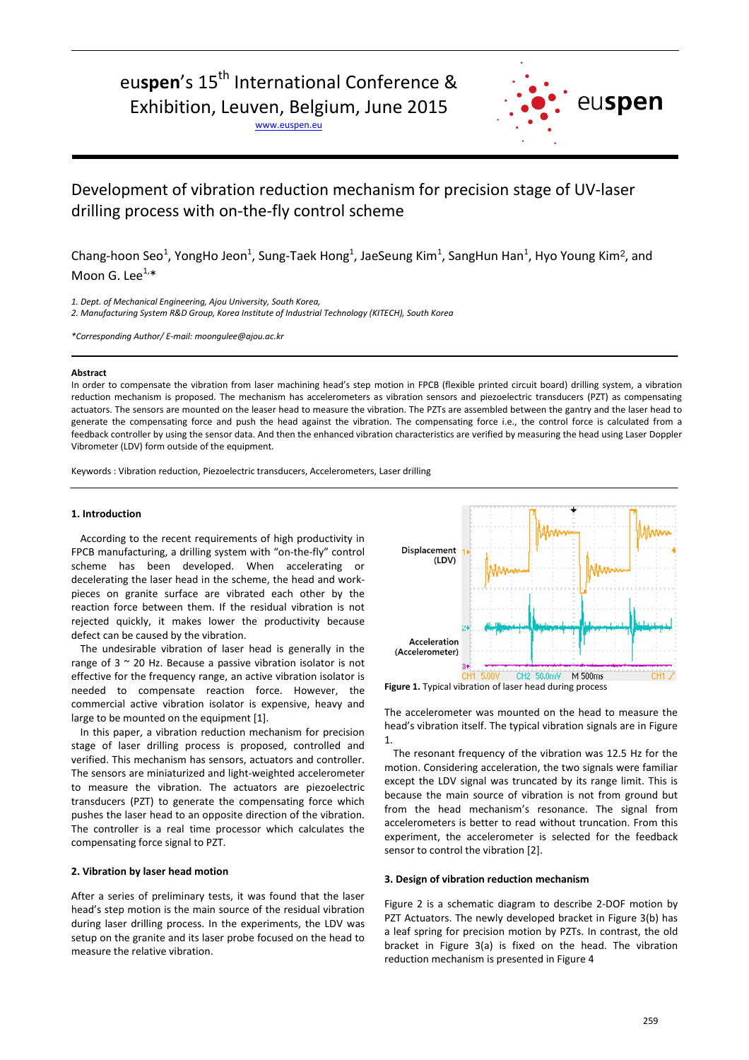# euspen's 15<sup>th</sup> International Conference &

Exhibition, Leuven, Belgium, June 2015

www.euspen.eu



# Development of vibration reduction mechanism for precision stage of UV-laser drilling process with on-the-fly control scheme

Chang-hoon Seo<sup>1</sup>, YongHo Jeon<sup>1</sup>, Sung-Taek Hong<sup>1</sup>, JaeSeung Kim<sup>1</sup>, SangHun Han<sup>1</sup>, Hyo Young Kim<sup>2</sup>, and Moon G. Lee $^{1,*}$ 

*1. Dept. of Mechanical Engineering, Ajou University, South Korea,*

*2. Manufacturing System R&D Group, Korea Institute of Industrial Technology (KITECH), South Korea*

*\*Corresponding Author/ E-mail: moongulee@ajou.ac.kr*

### **Abstract**

In order to compensate the vibration from laser machining head's step motion in FPCB (flexible printed circuit board) drilling system, a vibration reduction mechanism is proposed. The mechanism has accelerometers as vibration sensors and piezoelectric transducers (PZT) as compensating actuators. The sensors are mounted on the leaser head to measure the vibration. The PZTs are assembled between the gantry and the laser head to generate the compensating force and push the head against the vibration. The compensating force i.e., the control force is calculated from a feedback controller by using the sensor data. And then the enhanced vibration characteristics are verified by measuring the head using Laser Doppler Vibrometer (LDV) form outside of the equipment.

Keywords : Vibration reduction, Piezoelectric transducers, Accelerometers, Laser drilling

#### **1. Introduction**

According to the recent requirements of high productivity in FPCB manufacturing, a drilling system with "on-the-fly" control scheme has been developed. When accelerating or decelerating the laser head in the scheme, the head and workpieces on granite surface are vibrated each other by the reaction force between them. If the residual vibration is not rejected quickly, it makes lower the productivity because defect can be caused by the vibration.

The undesirable vibration of laser head is generally in the range of  $3 \sim 20$  Hz. Because a passive vibration isolator is not effective for the frequency range, an active vibration isolator is needed to compensate reaction force. However, the commercial active vibration isolator is expensive, heavy and large to be mounted on the equipment [1].

In this paper, a vibration reduction mechanism for precision stage of laser drilling process is proposed, controlled and verified. This mechanism has sensors, actuators and controller. The sensors are miniaturized and light-weighted accelerometer to measure the vibration. The actuators are piezoelectric transducers (PZT) to generate the compensating force which pushes the laser head to an opposite direction of the vibration. The controller is a real time processor which calculates the compensating force signal to PZT.

# **2. Vibration by laser head motion**

After a series of preliminary tests, it was found that the laser head's step motion is the main source of the residual vibration during laser drilling process. In the experiments, the LDV was setup on the granite and its laser probe focused on the head to measure the relative vibration.



**Figure 1.** Typical vibration of laser head during process

The accelerometer was mounted on the head to measure the head's vibration itself. The typical vibration signals are in Figure 1.

The resonant frequency of the vibration was 12.5 Hz for the motion. Considering acceleration, the two signals were familiar except the LDV signal was truncated by its range limit. This is because the main source of vibration is not from ground but from the head mechanism's resonance. The signal from accelerometers is better to read without truncation. From this experiment, the accelerometer is selected for the feedback sensor to control the vibration [2].

#### **3. Design of vibration reduction mechanism**

Figure 2 is a schematic diagram to describe 2-DOF motion by PZT Actuators. The newly developed bracket in Figure 3(b) has a leaf spring for precision motion by PZTs. In contrast, the old bracket in Figure 3(a) is fixed on the head. The vibration reduction mechanism is presented in Figure 4